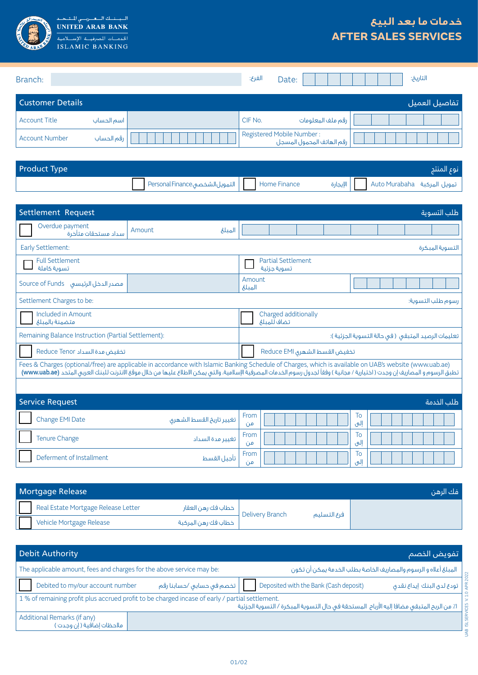

السيسنسك السعيدرسي للتشخيذ<br>UNITED ARAB BANK ISLAMIC BANKING

## **خدمات ما بعد البيع AFTER SALES SERVICES**

| Branch:               |            | الفرع:  | Date:                                                  |                   |  | التاريخ: |                |
|-----------------------|------------|---------|--------------------------------------------------------|-------------------|--|----------|----------------|
| Customer Details      |            |         |                                                        |                   |  |          | اتفاصيل العميل |
| <b>Account Title</b>  | اسم الحساب | CIF No. |                                                        | رقم ملف المعلومات |  |          |                |
| <b>Account Number</b> | رقم الحساب |         | Registered Mobile Number:<br>رقم الهاتف المحمول المسجل |                   |  |          |                |

| <b>Product Type</b> |                                                |  | نوع المنتج                                                                 |
|---------------------|------------------------------------------------|--|----------------------------------------------------------------------------|
|                     | Nome Finance   التمويل الشخصي Personal Finance |  | تمويل المركبة    Auto Murabaha         الإيجارة                   الإيجارة |

| Settlement Request<br>طلب التسوية                                                                                                                                                                                                                                                                                                           |                          |            |                                          |                                                   |  |  |           |  |  |                   |
|---------------------------------------------------------------------------------------------------------------------------------------------------------------------------------------------------------------------------------------------------------------------------------------------------------------------------------------------|--------------------------|------------|------------------------------------------|---------------------------------------------------|--|--|-----------|--|--|-------------------|
| Overdue payment<br>سداد مستحقات متأخرة                                                                                                                                                                                                                                                                                                      | Amount<br>المبلغ         |            |                                          |                                                   |  |  |           |  |  |                   |
| Early Settlement:                                                                                                                                                                                                                                                                                                                           |                          |            |                                          |                                                   |  |  |           |  |  | التسوية المبكرة   |
| <b>Full Settlement</b><br>تسوية كاملة                                                                                                                                                                                                                                                                                                       |                          |            | <b>Partial Settlement</b><br>تسوية جزئية |                                                   |  |  |           |  |  |                   |
| مصدر الدخل الرئيسي Source of Funds                                                                                                                                                                                                                                                                                                          |                          |            | Amount<br>الميلغ                         |                                                   |  |  |           |  |  |                   |
| Settlement Charges to be:                                                                                                                                                                                                                                                                                                                   |                          |            |                                          |                                                   |  |  |           |  |  | رسوم طلب التسوية: |
| Included in Amount<br>متضمنة بالمبلغ                                                                                                                                                                                                                                                                                                        |                          |            | Charged additionally<br>تضاف للمبلغ      |                                                   |  |  |           |  |  |                   |
| Remaining Balance Instruction (Partial Settlement):                                                                                                                                                                                                                                                                                         |                          |            |                                          | تعليمات الرصيد المتبقى (في حالة التسوية الجزئية): |  |  |           |  |  |                   |
| تخفيض مدة السداد Reduce Tenor                                                                                                                                                                                                                                                                                                               |                          |            | تخفيض القسط الشهرى Reduce EMI            |                                                   |  |  |           |  |  |                   |
| Fees & Charges (optional/free) are applicable in accordance with Islamic Banking Schedule of Charges, which is available on UAB's website (www.uab.ae)<br>تطبق الرسوم و المصاريف إن وجدت ( اختيارية / مجانية ) وفقاً لجدول رسوم الخدمات المصرفية الإسلامية، والتى يمكن الاطلاع عليها من خلال موقع الانترنت للبنك العربى المتحد (www.uab.ae) |                          |            |                                          |                                                   |  |  |           |  |  |                   |
|                                                                                                                                                                                                                                                                                                                                             |                          |            |                                          |                                                   |  |  |           |  |  |                   |
| <b>Service Request</b>                                                                                                                                                                                                                                                                                                                      |                          |            |                                          |                                                   |  |  |           |  |  | طلب الخدمة        |
| Change EMI Date                                                                                                                                                                                                                                                                                                                             | تغيير تاريخ القسط الشهرى | From<br>من |                                          |                                                   |  |  | To<br>إلى |  |  |                   |
| <b>Tenure Change</b>                                                                                                                                                                                                                                                                                                                        | تغيير مدة السداد         | From<br>من |                                          |                                                   |  |  | To<br>إلى |  |  |                   |
| Deferment of Installment                                                                                                                                                                                                                                                                                                                    | تأجيل القسط              | From<br>من |                                          |                                                   |  |  | To<br>إلى |  |  |                   |
|                                                                                                                                                                                                                                                                                                                                             |                          |            |                                          |                                                   |  |  |           |  |  |                   |

| Mortgage Release                    |                     |                 |             | ، فك الرهن |
|-------------------------------------|---------------------|-----------------|-------------|------------|
| Real Estate Mortgage Release Letter | خطاب فك رهن العقار  | Delivery Branch | فرع التسليم |            |
| Vehicle Mortgage Release            | خطاب فك رهن المركبة |                 |             |            |

| <b>Debit Authority</b>                                                                                                                                                                       |                           | اتفويض الخصم                                                        |  |  |  |  |  |
|----------------------------------------------------------------------------------------------------------------------------------------------------------------------------------------------|---------------------------|---------------------------------------------------------------------|--|--|--|--|--|
| The applicable amount, fees and charges for the above service may be:                                                                                                                        |                           | المبلغ أعلاه و الرسوم والمصاريف الخاصة بطلب الخدمة يمكن أن تكون     |  |  |  |  |  |
| Debited to my/our account number                                                                                                                                                             | تخصم فى حسابى /حسابنا رقم | Deposited with the Bank (Cash deposit)<br>تودع لدى البنك إيداع نقدى |  |  |  |  |  |
| 1 % of remaining profit plus accrued profit to be charged incase of early / partial settlement.<br>ا٪ من الربح المتبقى مضافا إليه الأرباح  المستحقة في حال التسوية المبكرة / التسوية الجزئية |                           |                                                                     |  |  |  |  |  |
| Additional Remarks (if any)<br>ملاحظات إضافية ( إن وجدت )                                                                                                                                    |                           |                                                                     |  |  |  |  |  |